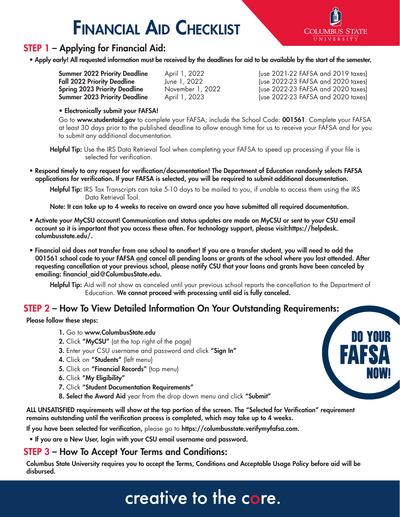# Financial Aid Checklist



**DO YOUR**

**NOW!**

**FAFSA**

## STEP 1 – Applying for Financial Aid:

• Apply early! All requested information must be received by the deadlines for aid to be available by the start of the semester.

| <b>Summer 2022 Priority Deadline</b> |
|--------------------------------------|
| <b>Fall 2022 Priority Deadline</b>   |
| <b>Spring 2023 Priority Deadline</b> |
| <b>Summer 2023 Priority Deadline</b> |

April 1, 2022 (use 2021-22 FAFSA and 2019 taxes) Fall 2022 (use 2022-23 FAFSA and 2020 taxes)<br>November 1, 2022 (use 2022-23 FAFSA and 2020 taxes) (use 2022-23 FAFSA and 2020 taxes) April 1, 2023 (use 2022-23 FAFSA and 2020 taxes)

• Electronically submit your FAFSA!

Go to www.studentaid.gov to complete your FAFSA; include the School Code: 001561. Complete your FAFSA at least 30 days prior to the published deadline to allow enough time for us to receive your FAFSA and for you to submit any additional documentation.

Helpful Tip: Use the IRS Data Retrieval Tool when completing your FAFSA to speed up processing if your file is selected for verification.

• Respond timely to any request for verification/documentation! The Department of Education randomly selects FAFSA applications for verification. If your FAFSA is selected, you will be required to submit additional documentation.

Helpful Tip: IRS Tax Transcripts can take 5-10 days to be mailed to you, if unable to access them using the IRS Data Retrieval Tool.

Note: It can take up to 4 weeks to receive an award once you have submitted all required documentation.

- Activate your MyCSU account! Communication and status updates are made on MyCSU or sent to your CSU email account so it is important that you access these often. For technology support, please visit:https://helpdesk. columbusstate.edu/.
- Financial aid does not transfer from one school to another! If you are a transfer student, you will need to add the 001561 school code to your FAFSA and cancel all pending loans or grants at the school where you last attended. After requesting cancellation at your previous school, please notify CSU that your loans and grants have been canceled by emailing: financial\_aid@ColumbusState.edu.

Helpful Tip: Aid will not show as canceled until your previous school reports the cancellation to the Department of Education. We cannot proceed with processing until aid is fully canceled.

#### STEP 2 – How To View Detailed Information On Your Outstanding Requirements:

Please follow these steps:

- 1. Go to www.ColumbusState.edu
- 2. Click "MyCSU" (at the top right of the page)
- 3. Enter your CSU username and password and click "Sign In"
- 4. Click on "Students" (left menu)
- 5. Click on "Financial Records" (top menu)
- 6. Click "My Eligibility"
- 7. Click "Student Documentation Requirements"
- 8. Select the Award Aid year from the drop down menu and click "Submit"

ALL UNSATISFIED requirements will show at the top portion of the screen. The "Selected for Verification" requirement remains outstanding until the verification process is completed, which may take up to 4 weeks.

If you have been selected for verification, please go to https://columbusstate.verifymyfafsa.com.

• If you are a New User, login with your CSU email username and password.

#### STEP 3 – How To Accept Your Terms and Conditions:

Columbus State University requires you to accept the Terms, Conditions and Acceptable Usage Policy before aid will be disbursed.

## creative to the core.